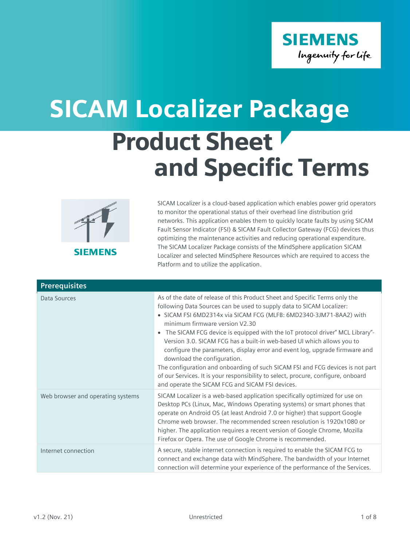

## Product Sheet and Specific Terms SICAM Localizer Package



SICAM Localizer is a cloud-based application which enables power grid operators to monitor the operational status of their overhead line distribution grid networks. This application enables them to quickly locate faults by using SICAM Fault Sensor Indicator (FSI) & SICAM Fault Collector Gateway (FCG) devices thus optimizing the maintenance activities and reducing operational expenditure. The SICAM Localizer Package consists of the MindSphere application SICAM Localizer and selected MindSphere Resources which are required to access the Platform and to utilize the application.

| <b>Prerequisites</b>              |                                                                                                                                                                                                                                                                                                                                                                                                                                                                                                                                                                                                                                                                                                                                                                 |
|-----------------------------------|-----------------------------------------------------------------------------------------------------------------------------------------------------------------------------------------------------------------------------------------------------------------------------------------------------------------------------------------------------------------------------------------------------------------------------------------------------------------------------------------------------------------------------------------------------------------------------------------------------------------------------------------------------------------------------------------------------------------------------------------------------------------|
| Data Sources                      | As of the date of release of this Product Sheet and Specific Terms only the<br>following Data Sources can be used to supply data to SICAM Localizer:<br>• SICAM FSI 6MD2314x via SICAM FCG (MLFB: 6MD2340-3JM71-8AA2) with<br>minimum firmware version V2.30<br>The SICAM FCG device is equipped with the IoT protocol driver" MCL Library"-<br>Version 3.0. SICAM FCG has a built-in web-based UI which allows you to<br>configure the parameters, display error and event log, upgrade firmware and<br>download the configuration.<br>The configuration and onboarding of such SICAM FSI and FCG devices is not part<br>of our Services. It is your responsibility to select, procure, configure, onboard<br>and operate the SICAM FCG and SICAM FSI devices. |
| Web browser and operating systems | SICAM Localizer is a web-based application specifically optimized for use on<br>Desktop PCs (Linux, Mac, Windows Operating systems) or smart phones that<br>operate on Android OS (at least Android 7.0 or higher) that support Google<br>Chrome web browser. The recommended screen resolution is 1920x1080 or<br>higher. The application requires a recent version of Google Chrome, Mozilla<br>Firefox or Opera. The use of Google Chrome is recommended.                                                                                                                                                                                                                                                                                                    |
| Internet connection               | A secure, stable internet connection is required to enable the SICAM FCG to<br>connect and exchange data with MindSphere. The bandwidth of your Internet<br>connection will determine your experience of the performance of the Services.                                                                                                                                                                                                                                                                                                                                                                                                                                                                                                                       |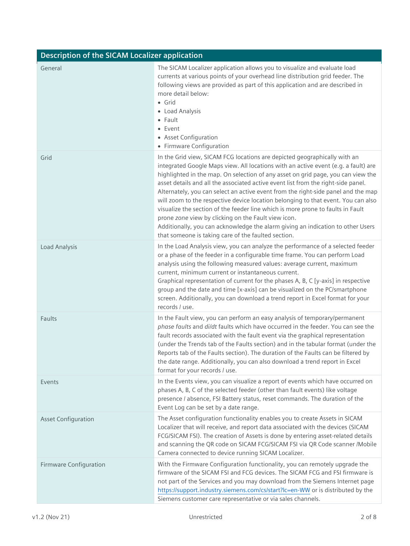| <b>Description of the SICAM Localizer application</b> |                                                                                                                                                                                                                                                                                                                                                                                                                                                                                                                                                                                                                                                                                                                                                                                                        |
|-------------------------------------------------------|--------------------------------------------------------------------------------------------------------------------------------------------------------------------------------------------------------------------------------------------------------------------------------------------------------------------------------------------------------------------------------------------------------------------------------------------------------------------------------------------------------------------------------------------------------------------------------------------------------------------------------------------------------------------------------------------------------------------------------------------------------------------------------------------------------|
| General                                               | The SICAM Localizer application allows you to visualize and evaluate load<br>currents at various points of your overhead line distribution grid feeder. The<br>following views are provided as part of this application and are described in<br>more detail below:<br>$\bullet$ Grid<br>• Load Analysis<br>$\bullet$ Fault<br>$\bullet$ Event<br>• Asset Configuration<br>• Firmware Configuration                                                                                                                                                                                                                                                                                                                                                                                                     |
| Grid                                                  | In the Grid view, SICAM FCG locations are depicted geographically with an<br>integrated Google Maps view. All locations with an active event (e.g. a fault) are<br>highlighted in the map. On selection of any asset on grid page, you can view the<br>asset details and all the associated active event list from the right-side panel.<br>Alternately, you can select an active event from the right-side panel and the map<br>will zoom to the respective device location belonging to that event. You can also<br>visualize the section of the feeder line which is more prone to faults in Fault<br>prone zone view by clicking on the Fault view icon.<br>Additionally, you can acknowledge the alarm giving an indication to other Users<br>that someone is taking care of the faulted section. |
| Load Analysis                                         | In the Load Analysis view, you can analyze the performance of a selected feeder<br>or a phase of the feeder in a configurable time frame. You can perform Load<br>analysis using the following measured values: average current, maximum<br>current, minimum current or instantaneous current.<br>Graphical representation of current for the phases A, B, C [y-axis] in respective<br>group and the date and time [x-axis] can be visualized on the PC/smartphone<br>screen. Additionally, you can download a trend report in Excel format for your<br>records / use.                                                                                                                                                                                                                                 |
| Faults                                                | In the Fault view, you can perform an easy analysis of temporary/permanent<br>phase faults and di/dt faults which have occurred in the feeder. You can see the<br>fault records associated with the fault event via the graphical representation<br>(under the Trends tab of the Faults section) and in the tabular format (under the<br>Reports tab of the Faults section). The duration of the Faults can be filtered by<br>the date range. Additionally, you can also download a trend report in Excel<br>format for your records / use.                                                                                                                                                                                                                                                            |
| Events                                                | In the Events view, you can visualize a report of events which have occurred on<br>phases A, B, C of the selected feeder (other than fault events) like voltage<br>presence / absence, FSI Battery status, reset commands. The duration of the<br>Event Log can be set by a date range.                                                                                                                                                                                                                                                                                                                                                                                                                                                                                                                |
| <b>Asset Configuration</b>                            | The Asset configuration functionality enables you to create Assets in SICAM<br>Localizer that will receive, and report data associated with the devices (SICAM<br>FCG/SICAM FSI). The creation of Assets is done by entering asset-related details<br>and scanning the QR code on SICAM FCG/SICAM FSI via QR Code scanner /Mobile<br>Camera connected to device running SICAM Localizer.                                                                                                                                                                                                                                                                                                                                                                                                               |
| Firmware Configuration                                | With the Firmware Configuration functionality, you can remotely upgrade the<br>firmware of the SICAM FSI and FCG devices. The SICAM FCG and FSI firmware is<br>not part of the Services and you may download from the Siemens Internet page<br>https://support.industry.siemens.com/cs/start?lc=en-WW or is distributed by the<br>Siemens customer care representative or via sales channels.                                                                                                                                                                                                                                                                                                                                                                                                          |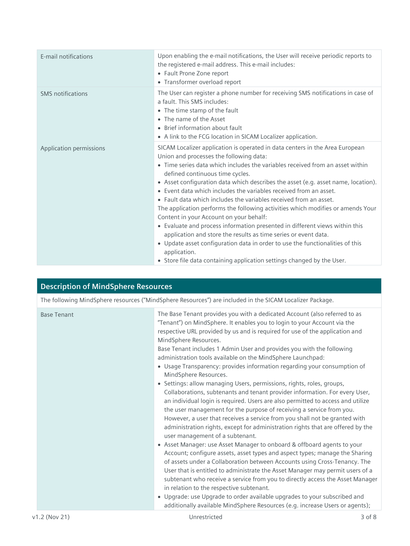| E-mail notifications     | Upon enabling the e-mail notifications, the User will receive periodic reports to<br>the registered e-mail address. This e-mail includes:<br>• Fault Prone Zone report<br>• Transformer overload report                                                                                                                                                                                                                                                                                                                                                                                                                                                                                                                                                                                                                                                                                                                               |
|--------------------------|---------------------------------------------------------------------------------------------------------------------------------------------------------------------------------------------------------------------------------------------------------------------------------------------------------------------------------------------------------------------------------------------------------------------------------------------------------------------------------------------------------------------------------------------------------------------------------------------------------------------------------------------------------------------------------------------------------------------------------------------------------------------------------------------------------------------------------------------------------------------------------------------------------------------------------------|
| <b>SMS</b> notifications | The User can register a phone number for receiving SMS notifications in case of<br>a fault. This SMS includes:<br>• The time stamp of the fault<br>• The name of the Asset<br>• Brief information about fault<br>• A link to the FCG location in SICAM Localizer application.                                                                                                                                                                                                                                                                                                                                                                                                                                                                                                                                                                                                                                                         |
| Application permissions  | SICAM Localizer application is operated in data centers in the Area European<br>Union and processes the following data:<br>• Time series data which includes the variables received from an asset within<br>defined continuous time cycles.<br>• Asset configuration data which describes the asset (e.g. asset name, location).<br>• Event data which includes the variables received from an asset.<br>• Fault data which includes the variables received from an asset.<br>The application performs the following activities which modifies or amends Your<br>Content in your Account on your behalf:<br>• Evaluate and process information presented in different views within this<br>application and store the results as time series or event data.<br>• Update asset configuration data in order to use the functionalities of this<br>application.<br>• Store file data containing application settings changed by the User. |

| <b>Description of MindSphere Resources</b> |                                                                                                                                                                                                                                                                                                                                                                                                                                                                                                                                                                                                                                                                                                                                                                                                                                                                                                                                                                                                                                                                                                                                                                                                                                                                                                                                                                                                                                                                                                                                                                       |
|--------------------------------------------|-----------------------------------------------------------------------------------------------------------------------------------------------------------------------------------------------------------------------------------------------------------------------------------------------------------------------------------------------------------------------------------------------------------------------------------------------------------------------------------------------------------------------------------------------------------------------------------------------------------------------------------------------------------------------------------------------------------------------------------------------------------------------------------------------------------------------------------------------------------------------------------------------------------------------------------------------------------------------------------------------------------------------------------------------------------------------------------------------------------------------------------------------------------------------------------------------------------------------------------------------------------------------------------------------------------------------------------------------------------------------------------------------------------------------------------------------------------------------------------------------------------------------------------------------------------------------|
|                                            | The following MindSphere resources ("MindSphere Resources") are included in the SICAM Localizer Package.                                                                                                                                                                                                                                                                                                                                                                                                                                                                                                                                                                                                                                                                                                                                                                                                                                                                                                                                                                                                                                                                                                                                                                                                                                                                                                                                                                                                                                                              |
| <b>Base Tenant</b>                         | The Base Tenant provides you with a dedicated Account (also referred to as<br>"Tenant") on MindSphere. It enables you to login to your Account via the<br>respective URL provided by us and is required for use of the application and<br>MindSphere Resources.<br>Base Tenant includes 1 Admin User and provides you with the following<br>administration tools available on the MindSphere Launchpad:<br>• Usage Transparency: provides information regarding your consumption of<br>MindSphere Resources.<br>• Settings: allow managing Users, permissions, rights, roles, groups,<br>Collaborations, subtenants and tenant provider information. For every User,<br>an individual login is required. Users are also permitted to access and utilize<br>the user management for the purpose of receiving a service from you.<br>However, a user that receives a service from you shall not be granted with<br>administration rights, except for administration rights that are offered by the<br>user management of a subtenant.<br>• Asset Manager: use Asset Manager to onboard & offboard agents to your<br>Account; configure assets, asset types and aspect types; manage the Sharing<br>of assets under a Collaboration between Accounts using Cross-Tenancy. The<br>User that is entitled to administrate the Asset Manager may permit users of a<br>subtenant who receive a service from you to directly access the Asset Manager<br>in relation to the respective subtenant.<br>• Upgrade: use Upgrade to order available upgrades to your subscribed and |
|                                            | additionally available MindSphere Resources (e.g. increase Users or agents);                                                                                                                                                                                                                                                                                                                                                                                                                                                                                                                                                                                                                                                                                                                                                                                                                                                                                                                                                                                                                                                                                                                                                                                                                                                                                                                                                                                                                                                                                          |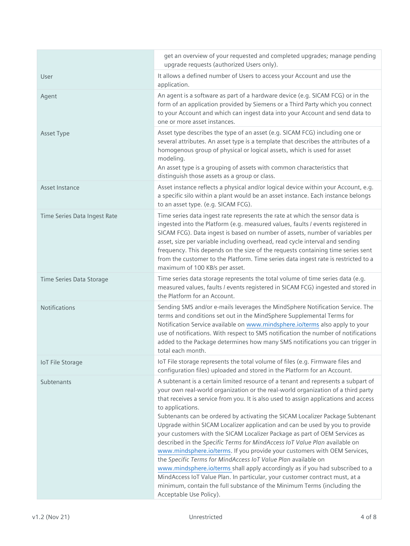|                              | get an overview of your requested and completed upgrades; manage pending<br>upgrade requests (authorized Users only).                                                                                                                                                                                                                                                                                                                                                                                                                                                                                                                                                                                                                                                                                                                                                                                                                                                                                                             |
|------------------------------|-----------------------------------------------------------------------------------------------------------------------------------------------------------------------------------------------------------------------------------------------------------------------------------------------------------------------------------------------------------------------------------------------------------------------------------------------------------------------------------------------------------------------------------------------------------------------------------------------------------------------------------------------------------------------------------------------------------------------------------------------------------------------------------------------------------------------------------------------------------------------------------------------------------------------------------------------------------------------------------------------------------------------------------|
| User                         | It allows a defined number of Users to access your Account and use the<br>application.                                                                                                                                                                                                                                                                                                                                                                                                                                                                                                                                                                                                                                                                                                                                                                                                                                                                                                                                            |
| Agent                        | An agent is a software as part of a hardware device (e.g. SICAM FCG) or in the<br>form of an application provided by Siemens or a Third Party which you connect<br>to your Account and which can ingest data into your Account and send data to<br>one or more asset instances.                                                                                                                                                                                                                                                                                                                                                                                                                                                                                                                                                                                                                                                                                                                                                   |
| Asset Type                   | Asset type describes the type of an asset (e.g. SICAM FCG) including one or<br>several attributes. An asset type is a template that describes the attributes of a<br>homogenous group of physical or logical assets, which is used for asset<br>modeling.<br>An asset type is a grouping of assets with common characteristics that<br>distinguish those assets as a group or class.                                                                                                                                                                                                                                                                                                                                                                                                                                                                                                                                                                                                                                              |
| Asset Instance               | Asset instance reflects a physical and/or logical device within your Account, e.g.<br>a specific silo within a plant would be an asset instance. Each instance belongs<br>to an asset type. (e.g. SICAM FCG).                                                                                                                                                                                                                                                                                                                                                                                                                                                                                                                                                                                                                                                                                                                                                                                                                     |
| Time Series Data Ingest Rate | Time series data ingest rate represents the rate at which the sensor data is<br>ingested into the Platform (e.g. measured values, faults / events registered in<br>SICAM FCG). Data ingest is based on number of assets, number of variables per<br>asset, size per variable including overhead, read cycle interval and sending<br>frequency. This depends on the size of the requests containing time series sent<br>from the customer to the Platform. Time series data ingest rate is restricted to a<br>maximum of 100 KB/s per asset.                                                                                                                                                                                                                                                                                                                                                                                                                                                                                       |
| Time Series Data Storage     | Time series data storage represents the total volume of time series data (e.g.<br>measured values, faults / events registered in SICAM FCG) ingested and stored in<br>the Platform for an Account.                                                                                                                                                                                                                                                                                                                                                                                                                                                                                                                                                                                                                                                                                                                                                                                                                                |
| Notifications                | Sending SMS and/or e-mails leverages the MindSphere Notification Service. The<br>terms and conditions set out in the MindSphere Supplemental Terms for<br>Notification Service available on www.mindsphere.io/terms also apply to your<br>use of notifications. With respect to SMS notification the number of notifications<br>added to the Package determines how many SMS notifications you can trigger in<br>total each month.                                                                                                                                                                                                                                                                                                                                                                                                                                                                                                                                                                                                |
| <b>IoT File Storage</b>      | IoT File storage represents the total volume of files (e.g. Firmware files and<br>configuration files) uploaded and stored in the Platform for an Account.                                                                                                                                                                                                                                                                                                                                                                                                                                                                                                                                                                                                                                                                                                                                                                                                                                                                        |
| Subtenants                   | A subtenant is a certain limited resource of a tenant and represents a subpart of<br>your own real-world organization or the real-world organization of a third party<br>that receives a service from you. It is also used to assign applications and access<br>to applications.<br>Subtenants can be ordered by activating the SICAM Localizer Package Subtenant<br>Upgrade within SICAM Localizer application and can be used by you to provide<br>your customers with the SICAM Localizer Package as part of OEM Services as<br>described in the Specific Terms for MindAccess IoT Value Plan available on<br>www.mindsphere.io/terms. If you provide your customers with OEM Services,<br>the Specific Terms for MindAccess IoT Value Plan available on<br>www.mindsphere.io/terms shall apply accordingly as if you had subscribed to a<br>MindAccess IoT Value Plan. In particular, your customer contract must, at a<br>minimum, contain the full substance of the Minimum Terms (including the<br>Acceptable Use Policy). |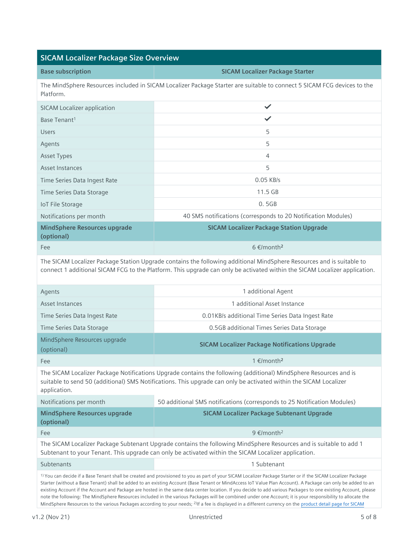## **SICAM Localizer Package Size Overview**

| <b>Base subscription</b> | <b>SICAM Localizer Package Starter</b>                                                                          |
|--------------------------|-----------------------------------------------------------------------------------------------------------------|
|                          | The MindSphere Percurses included in SICAM Localizer Package Starter are suitable to connect 5 SICAM ECC device |

The MindSphere Resources included in SICAM Localizer Package Starter are suitable to connect 5 SICAM FCG devices to the Platform.

| <b>SICAM Localizer application</b>                |                                                               |
|---------------------------------------------------|---------------------------------------------------------------|
| Base Tenant <sup>1</sup>                          | ✓                                                             |
| <b>Users</b>                                      | 5                                                             |
| Agents                                            | 5                                                             |
| <b>Asset Types</b>                                | 4                                                             |
| Asset Instances                                   | 5                                                             |
| Time Series Data Ingest Rate                      | $0.05$ KB/s                                                   |
| Time Series Data Storage                          | $11.5$ GB                                                     |
| <b>IoT File Storage</b>                           | 0.5GB                                                         |
| Notifications per month                           | 40 SMS notifications (corresponds to 20 Notification Modules) |
| <b>MindSphere Resources upgrade</b><br>(optional) | <b>SICAM Localizer Package Station Upgrade</b>                |
| Fee                                               | $6 \in$ /month <sup>2</sup>                                   |

The SICAM Localizer Package Station Upgrade contains the following additional MindSphere Resources and is suitable to connect 1 additional SICAM FCG to the Platform. This upgrade can only be activated within the SICAM Localizer application.

| Agents                                     | 1 additional Agent                                   |
|--------------------------------------------|------------------------------------------------------|
| Asset Instances                            | additional Asset Instance                            |
| Time Series Data Ingest Rate               | 0.01KB/s additional Time Series Data Ingest Rate     |
| Time Series Data Storage                   | 0.5GB additional Times Series Data Storage           |
| MindSphere Resources upgrade<br>(optional) | <b>SICAM Localizer Package Notifications Upgrade</b> |
| Fee                                        | 1 €/month <sup>2</sup>                               |

The SICAM Localizer Package Notifications Upgrade contains the following (additional) MindSphere Resources and is suitable to send 50 (additional) SMS Notifications. This upgrade can only be activated within the SICAM Localizer application.

| Notifications per month                                                                                                                                                                                                    | 50 additional SMS notifications (corresponds to 25 Notification Modules) |
|----------------------------------------------------------------------------------------------------------------------------------------------------------------------------------------------------------------------------|--------------------------------------------------------------------------|
| MindSphere Resources upgrade<br>(optional)                                                                                                                                                                                 | <b>SICAM Localizer Package Subtenant Upgrade</b>                         |
| Fee                                                                                                                                                                                                                        | 9 $\epsilon$ /month <sup>2</sup>                                         |
| The SICAM Localizer Package Subtenant Upgrade contains the following MindSphere Resources and is suitable to add 1<br>Subtenant to your Tenant. This upgrade can only be activated within the SICAM Localizer application. |                                                                          |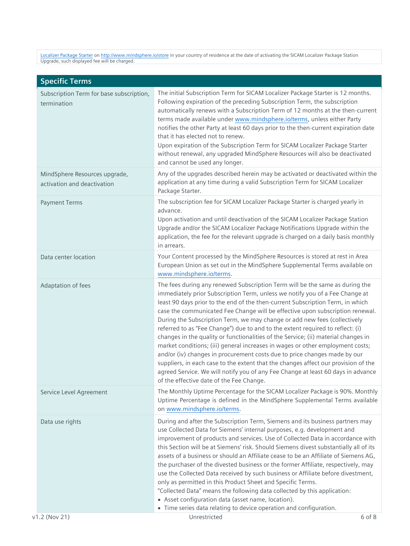[Localizer Package](https://www.dex.siemens.com/mindsphere/applications/sicam-localizer-package-starter) Starter on <http://www.mindsphere.io/store> in your country of residence at the date of activating the SICAM Localizer Package Station Upgrade, such displayed fee will be charged.

| <b>Specific Terms</b>                                        |                                                                                                                                                                                                                                                                                                                                                                                                                                                                                                                                                                                                                                                                                                                                                                                                                                                                                                                                                                           |
|--------------------------------------------------------------|---------------------------------------------------------------------------------------------------------------------------------------------------------------------------------------------------------------------------------------------------------------------------------------------------------------------------------------------------------------------------------------------------------------------------------------------------------------------------------------------------------------------------------------------------------------------------------------------------------------------------------------------------------------------------------------------------------------------------------------------------------------------------------------------------------------------------------------------------------------------------------------------------------------------------------------------------------------------------|
| Subscription Term for base subscription,<br>termination      | The initial Subscription Term for SICAM Localizer Package Starter is 12 months.<br>Following expiration of the preceding Subscription Term, the subscription<br>automatically renews with a Subscription Term of 12 months at the then-current<br>terms made available under www.mindsphere.io/terms, unless either Party<br>notifies the other Party at least 60 days prior to the then-current expiration date<br>that it has elected not to renew.<br>Upon expiration of the Subscription Term for SICAM Localizer Package Starter<br>without renewal, any upgraded MindSphere Resources will also be deactivated<br>and cannot be used any longer.                                                                                                                                                                                                                                                                                                                    |
| MindSphere Resources upgrade,<br>activation and deactivation | Any of the upgrades described herein may be activated or deactivated within the<br>application at any time during a valid Subscription Term for SICAM Localizer<br>Package Starter.                                                                                                                                                                                                                                                                                                                                                                                                                                                                                                                                                                                                                                                                                                                                                                                       |
| <b>Payment Terms</b>                                         | The subscription fee for SICAM Localizer Package Starter is charged yearly in<br>advance.<br>Upon activation and until deactivation of the SICAM Localizer Package Station<br>Upgrade and/or the SICAM Localizer Package Notifications Upgrade within the<br>application, the fee for the relevant upgrade is charged on a daily basis monthly<br>in arrears.                                                                                                                                                                                                                                                                                                                                                                                                                                                                                                                                                                                                             |
| Data center location                                         | Your Content processed by the MindSphere Resources is stored at rest in Area<br>European Union as set out in the MindSphere Supplemental Terms available on<br>www.mindsphere.io/terms.                                                                                                                                                                                                                                                                                                                                                                                                                                                                                                                                                                                                                                                                                                                                                                                   |
| Adaptation of fees                                           | The fees during any renewed Subscription Term will be the same as during the<br>immediately prior Subscription Term, unless we notify you of a Fee Change at<br>least 90 days prior to the end of the then-current Subscription Term, in which<br>case the communicated Fee Change will be effective upon subscription renewal.<br>During the Subscription Term, we may change or add new fees (collectively<br>referred to as "Fee Change") due to and to the extent required to reflect: (i)<br>changes in the quality or functionalities of the Service; (ii) material changes in<br>market conditions; (iii) general increases in wages or other employment costs;<br>and/or (iv) changes in procurement costs due to price changes made by our<br>suppliers, in each case to the extent that the changes affect our provision of the<br>agreed Service. We will notify you of any Fee Change at least 60 days in advance<br>of the effective date of the Fee Change. |
| Service Level Agreement                                      | The Monthly Uptime Percentage for the SICAM Localizer Package is 90%. Monthly<br>Uptime Percentage is defined in the MindSphere Supplemental Terms available<br>on www.mindsphere.io/terms.                                                                                                                                                                                                                                                                                                                                                                                                                                                                                                                                                                                                                                                                                                                                                                               |
| Data use rights                                              | During and after the Subscription Term, Siemens and its business partners may<br>use Collected Data for Siemens' internal purposes, e.g. development and<br>improvement of products and services. Use of Collected Data in accordance with<br>this Section will be at Siemens' risk. Should Siemens divest substantially all of its<br>assets of a business or should an Affiliate cease to be an Affiliate of Siemens AG,<br>the purchaser of the divested business or the former Affiliate, respectively, may<br>use the Collected Data received by such business or Affiliate before divestment,<br>only as permitted in this Product Sheet and Specific Terms.<br>"Collected Data" means the following data collected by this application:<br>• Asset configuration data (asset name, location).                                                                                                                                                                      |
| v1.2 (Nov 21)                                                | • Time series data relating to device operation and configuration.<br>Unrestricted<br>6 of 8                                                                                                                                                                                                                                                                                                                                                                                                                                                                                                                                                                                                                                                                                                                                                                                                                                                                              |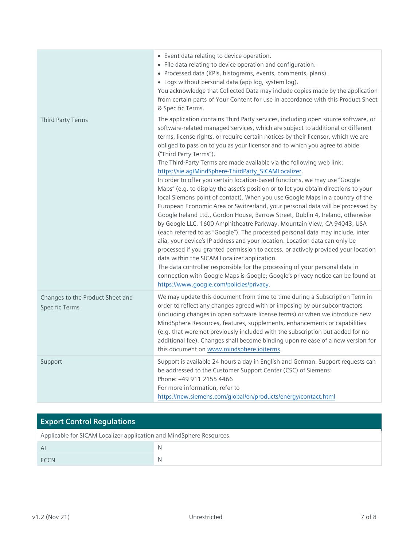|                                                           | • Event data relating to device operation.<br>• File data relating to device operation and configuration.<br>• Processed data (KPIs, histograms, events, comments, plans).<br>• Logs without personal data (app log, system log).<br>You acknowledge that Collected Data may include copies made by the application<br>from certain parts of Your Content for use in accordance with this Product Sheet<br>& Specific Terms.                                                                                                                                                                                                                                                                                                                                                                                                                                                                                                                                                                                                                                                                                                                                                                                                                                                                                                                                                                                                                                                                                             |
|-----------------------------------------------------------|--------------------------------------------------------------------------------------------------------------------------------------------------------------------------------------------------------------------------------------------------------------------------------------------------------------------------------------------------------------------------------------------------------------------------------------------------------------------------------------------------------------------------------------------------------------------------------------------------------------------------------------------------------------------------------------------------------------------------------------------------------------------------------------------------------------------------------------------------------------------------------------------------------------------------------------------------------------------------------------------------------------------------------------------------------------------------------------------------------------------------------------------------------------------------------------------------------------------------------------------------------------------------------------------------------------------------------------------------------------------------------------------------------------------------------------------------------------------------------------------------------------------------|
| Third Party Terms                                         | The application contains Third Party services, including open source software, or<br>software-related managed services, which are subject to additional or different<br>terms, license rights, or require certain notices by their licensor, which we are<br>obliged to pass on to you as your licensor and to which you agree to abide<br>("Third Party Terms").<br>The Third-Party Terms are made available via the following web link:<br>https://sie.ag/MindSphere-ThirdParty_SICAMLocalizer.<br>In order to offer you certain location-based functions, we may use "Google<br>Maps" (e.g. to display the asset's position or to let you obtain directions to your<br>local Siemens point of contact). When you use Google Maps in a country of the<br>European Economic Area or Switzerland, your personal data will be processed by<br>Google Ireland Ltd., Gordon House, Barrow Street, Dublin 4, Ireland, otherwise<br>by Google LLC, 1600 Amphitheatre Parkway, Mountain View, CA 94043, USA<br>(each referred to as "Google"). The processed personal data may include, inter<br>alia, your device's IP address and your location. Location data can only be<br>processed if you granted permission to access, or actively provided your location<br>data within the SICAM Localizer application.<br>The data controller responsible for the processing of your personal data in<br>connection with Google Maps is Google; Google's privacy notice can be found at<br>https://www.google.com/policies/privacy. |
| Changes to the Product Sheet and<br><b>Specific Terms</b> | We may update this document from time to time during a Subscription Term in<br>order to reflect any changes agreed with or imposing by our subcontractors<br>(including changes in open software license terms) or when we introduce new<br>MindSphere Resources, features, supplements, enhancements or capabilities<br>(e.g. that were not previously included with the subscription but added for no<br>additional fee). Changes shall become binding upon release of a new version for<br>this document on www.mindsphere.io/terms.                                                                                                                                                                                                                                                                                                                                                                                                                                                                                                                                                                                                                                                                                                                                                                                                                                                                                                                                                                                  |
| Support                                                   | Support is available 24 hours a day in English and German. Support requests can<br>be addressed to the Customer Support Center (CSC) of Siemens:<br>Phone: +49 911 2155 4466<br>For more information, refer to<br>https://new.siemens.com/global/en/products/energy/contact.html                                                                                                                                                                                                                                                                                                                                                                                                                                                                                                                                                                                                                                                                                                                                                                                                                                                                                                                                                                                                                                                                                                                                                                                                                                         |

| <b>Export Control Regulations</b>                                    |   |  |
|----------------------------------------------------------------------|---|--|
| Applicable for SICAM Localizer application and MindSphere Resources. |   |  |
| AL                                                                   | N |  |
| <b>FCCN</b>                                                          | N |  |